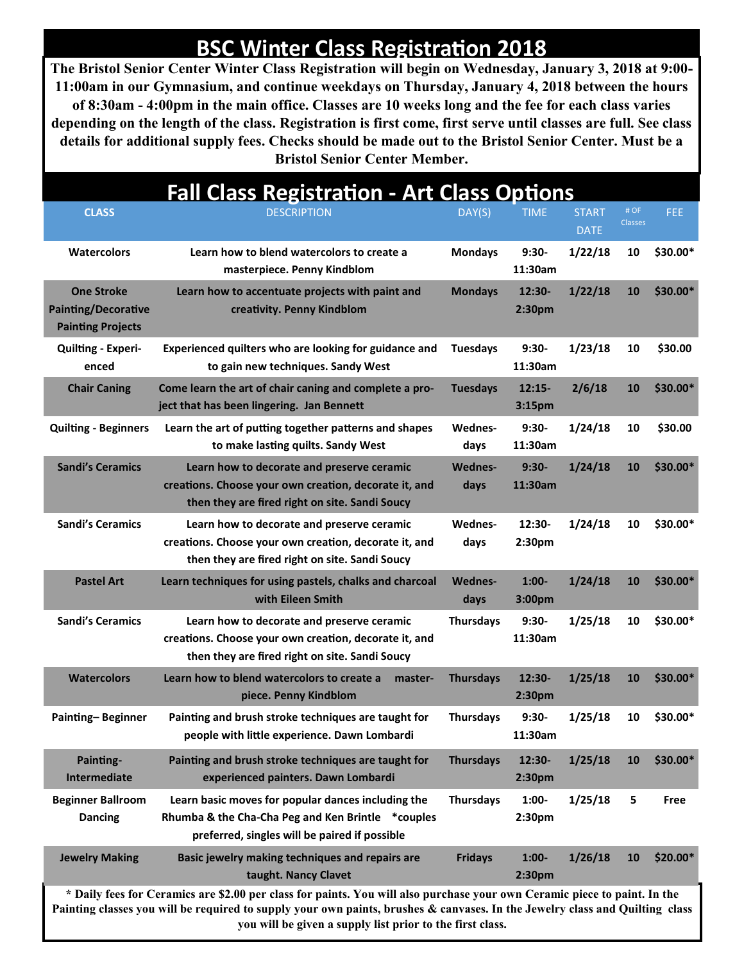## **BSC Winter Class Registration 2018**

**The Bristol Senior Center Winter Class Registration will begin on Wednesday, January 3, 2018 at 9:00- 11:00am in our Gymnasium, and continue weekdays on Thursday, January 4, 2018 between the hours of 8:30am - 4:00pm in the main office. Classes are 10 weeks long and the fee for each class varies depending on the length of the class. Registration is first come, first serve until classes are full. See class details for additional supply fees. Checks should be made out to the Bristol Senior Center. Must be a Bristol Senior Center Member.**

| <b>Fall Class Registration - Art Class Options</b>                                                                        |                                                                                                                                                          |                  |                                |                             |                        |             |  |  |  |  |  |
|---------------------------------------------------------------------------------------------------------------------------|----------------------------------------------------------------------------------------------------------------------------------------------------------|------------------|--------------------------------|-----------------------------|------------------------|-------------|--|--|--|--|--|
| <b>CLASS</b>                                                                                                              | <b>DESCRIPTION</b>                                                                                                                                       | DAY(S)           | <b>TIME</b>                    | <b>START</b><br><b>DATE</b> | # OF<br><b>Classes</b> | <b>FEE</b>  |  |  |  |  |  |
| <b>Watercolors</b>                                                                                                        | Learn how to blend watercolors to create a<br>masterpiece. Penny Kindblom                                                                                | <b>Mondays</b>   | $9:30-$<br>11:30am             | 1/22/18                     | 10                     | \$30.00*    |  |  |  |  |  |
| <b>One Stroke</b><br><b>Painting/Decorative</b><br><b>Painting Projects</b>                                               | Learn how to accentuate projects with paint and<br>creativity. Penny Kindblom                                                                            | <b>Mondays</b>   | $12:30-$<br>2:30pm             | 1/22/18                     | 10                     | $$30.00*$   |  |  |  |  |  |
| <b>Quilting - Experi-</b><br>enced                                                                                        | Experienced quilters who are looking for guidance and<br>to gain new techniques. Sandy West                                                              | <b>Tuesdays</b>  | 9:30-<br>11:30am               | 1/23/18                     | 10                     | \$30.00     |  |  |  |  |  |
| <b>Chair Caning</b>                                                                                                       | Come learn the art of chair caning and complete a pro-<br>ject that has been lingering. Jan Bennett                                                      | <b>Tuesdays</b>  | $12:15-$<br>3:15pm             | 2/6/18                      | 10                     | $$30.00*$   |  |  |  |  |  |
| <b>Quilting - Beginners</b>                                                                                               | Learn the art of putting together patterns and shapes<br>to make lasting quilts. Sandy West                                                              | Wednes-<br>days  | 9:30-<br>11:30am               | 1/24/18                     | 10                     | \$30.00     |  |  |  |  |  |
| <b>Sandi's Ceramics</b>                                                                                                   | Learn how to decorate and preserve ceramic<br>creations. Choose your own creation, decorate it, and<br>then they are fired right on site. Sandi Soucy    | Wednes-<br>days  | $9:30-$<br>11:30am             | 1/24/18                     | 10                     | \$30.00*    |  |  |  |  |  |
| <b>Sandi's Ceramics</b>                                                                                                   | Learn how to decorate and preserve ceramic<br>creations. Choose your own creation, decorate it, and<br>then they are fired right on site. Sandi Soucy    | Wednes-<br>days  | $12:30-$<br>2:30 <sub>pm</sub> | 1/24/18                     | 10                     | \$30.00*    |  |  |  |  |  |
| <b>Pastel Art</b>                                                                                                         | Learn techniques for using pastels, chalks and charcoal<br>with Eileen Smith                                                                             | Wednes-<br>days  | $1:00-$<br>3:00 <sub>pm</sub>  | 1/24/18                     | 10                     | $$30.00*$   |  |  |  |  |  |
| <b>Sandi's Ceramics</b>                                                                                                   | Learn how to decorate and preserve ceramic<br>creations. Choose your own creation, decorate it, and<br>then they are fired right on site. Sandi Soucy    | <b>Thursdays</b> | $9:30-$<br>11:30am             | 1/25/18                     | 10                     | $$30.00*$   |  |  |  |  |  |
| <b>Watercolors</b>                                                                                                        | Learn how to blend watercolors to create a<br>master-<br>piece. Penny Kindblom                                                                           | <b>Thursdays</b> | 12:30-<br>2:30pm               | 1/25/18                     | 10                     | $$30.00*$   |  |  |  |  |  |
| Painting-Beginner                                                                                                         | Painting and brush stroke techniques are taught for<br>people with little experience. Dawn Lombardi                                                      | <b>Thursdays</b> | $9:30-$<br>11:30am             | 1/25/18                     | 10                     | \$30.00*    |  |  |  |  |  |
| Painting-<br>Intermediate                                                                                                 | Painting and brush stroke techniques are taught for<br>experienced painters. Dawn Lombardi                                                               | <b>Thursdays</b> | 12:30-<br>2:30pm               | 1/25/18                     | 10                     | \$30.00*    |  |  |  |  |  |
| <b>Beginner Ballroom</b><br><b>Dancing</b>                                                                                | Learn basic moves for popular dances including the<br>Rhumba & the Cha-Cha Peg and Ken Brintle *couples<br>preferred, singles will be paired if possible | <b>Thursdays</b> | $1:00-$<br>2:30pm              | 1/25/18                     | 5                      | <b>Free</b> |  |  |  |  |  |
| <b>Jewelry Making</b>                                                                                                     | Basic jewelry making techniques and repairs are<br>taught. Nancy Clavet                                                                                  | <b>Fridays</b>   | $1:00-$<br>2:30 <sub>pm</sub>  | 1/26/18                     | 10                     | \$20.00*    |  |  |  |  |  |
| * Daily fees for Ceramics are \$2.00 per class for paints. You will also purchase your own Ceramic piece to paint. In the |                                                                                                                                                          |                  |                                |                             |                        |             |  |  |  |  |  |

**Painting classes you will be required to supply your own paints, brushes & canvases. In the Jewelry class and Quilting class you will be given a supply list prior to the first class.**